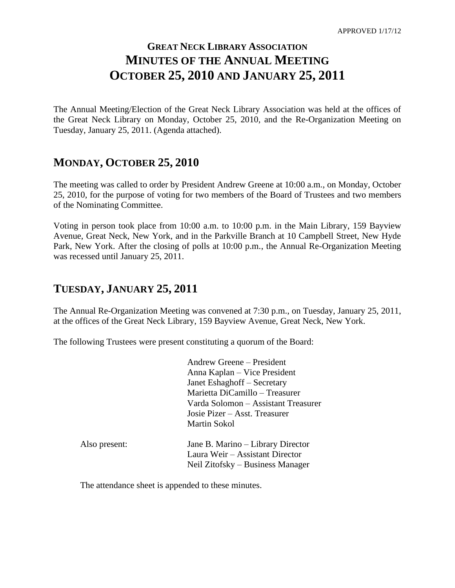# **GREAT NECK LIBRARY ASSOCIATION MINUTES OF THE ANNUAL MEETING OCTOBER 25, 2010 AND JANUARY 25, 2011**

The Annual Meeting/Election of the Great Neck Library Association was held at the offices of the Great Neck Library on Monday, October 25, 2010, and the Re-Organization Meeting on Tuesday, January 25, 2011. (Agenda attached).

### **MONDAY, OCTOBER 25, 2010**

The meeting was called to order by President Andrew Greene at 10:00 a.m., on Monday, October 25, 2010, for the purpose of voting for two members of the Board of Trustees and two members of the Nominating Committee.

Voting in person took place from 10:00 a.m. to 10:00 p.m. in the Main Library, 159 Bayview Avenue, Great Neck, New York, and in the Parkville Branch at 10 Campbell Street, New Hyde Park, New York. After the closing of polls at 10:00 p.m., the Annual Re-Organization Meeting was recessed until January 25, 2011.

### **TUESDAY, JANUARY 25, 2011**

The Annual Re-Organization Meeting was convened at 7:30 p.m., on Tuesday, January 25, 2011, at the offices of the Great Neck Library, 159 Bayview Avenue, Great Neck, New York.

The following Trustees were present constituting a quorum of the Board:

Andrew Greene – President Anna Kaplan – Vice President Janet Eshaghoff – Secretary Marietta DiCamillo – Treasurer Varda Solomon – Assistant Treasurer Josie Pizer – Asst. Treasurer Martin Sokol

| Also present: | Jane B. Marino – Library Director |
|---------------|-----------------------------------|
|               | Laura Weir – Assistant Director   |
|               | Neil Zitofsky – Business Manager  |

The attendance sheet is appended to these minutes.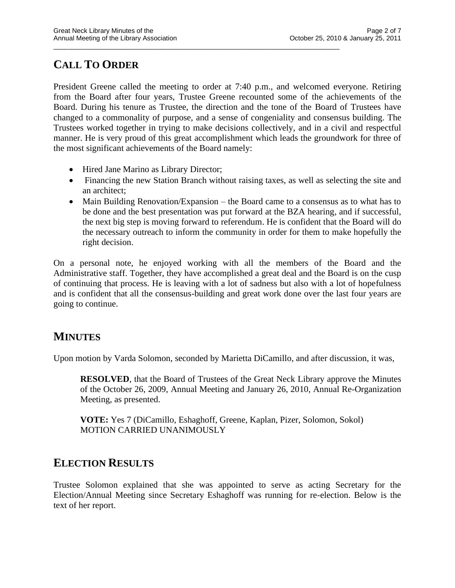# **CALL TO ORDER**

President Greene called the meeting to order at 7:40 p.m., and welcomed everyone. Retiring from the Board after four years, Trustee Greene recounted some of the achievements of the Board. During his tenure as Trustee, the direction and the tone of the Board of Trustees have changed to a commonality of purpose, and a sense of congeniality and consensus building. The Trustees worked together in trying to make decisions collectively, and in a civil and respectful manner. He is very proud of this great accomplishment which leads the groundwork for three of the most significant achievements of the Board namely:

\_\_\_\_\_\_\_\_\_\_\_\_\_\_\_\_\_\_\_\_\_\_\_\_\_\_\_\_\_\_\_\_\_\_\_\_\_\_\_\_\_\_\_\_\_\_\_\_\_\_\_\_\_\_\_\_\_\_\_\_\_\_\_\_\_\_\_\_\_\_\_\_\_\_\_\_\_

- Hired Jane Marino as Library Director;
- Financing the new Station Branch without raising taxes, as well as selecting the site and an architect;
- Main Building Renovation/Expansion the Board came to a consensus as to what has to be done and the best presentation was put forward at the BZA hearing, and if successful, the next big step is moving forward to referendum. He is confident that the Board will do the necessary outreach to inform the community in order for them to make hopefully the right decision.

On a personal note, he enjoyed working with all the members of the Board and the Administrative staff. Together, they have accomplished a great deal and the Board is on the cusp of continuing that process. He is leaving with a lot of sadness but also with a lot of hopefulness and is confident that all the consensus-building and great work done over the last four years are going to continue.

# **MINUTES**

Upon motion by Varda Solomon, seconded by Marietta DiCamillo, and after discussion, it was,

**RESOLVED**, that the Board of Trustees of the Great Neck Library approve the Minutes of the October 26, 2009, Annual Meeting and January 26, 2010, Annual Re-Organization Meeting, as presented.

**VOTE:** Yes 7 (DiCamillo, Eshaghoff, Greene, Kaplan, Pizer, Solomon, Sokol) MOTION CARRIED UNANIMOUSLY

# **ELECTION RESULTS**

Trustee Solomon explained that she was appointed to serve as acting Secretary for the Election/Annual Meeting since Secretary Eshaghoff was running for re-election. Below is the text of her report.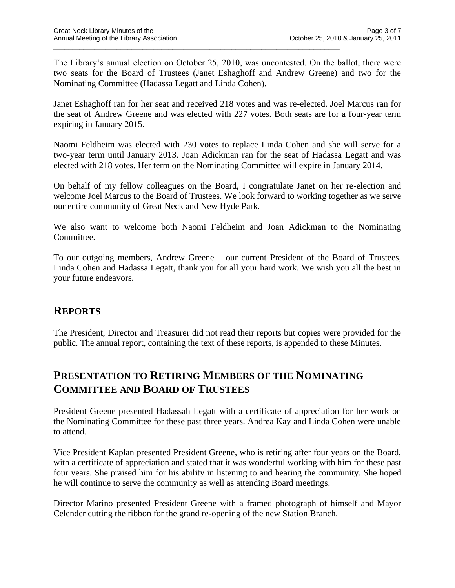The Library's annual election on October 25, 2010, was uncontested. On the ballot, there were two seats for the Board of Trustees (Janet Eshaghoff and Andrew Greene) and two for the Nominating Committee (Hadassa Legatt and Linda Cohen).

\_\_\_\_\_\_\_\_\_\_\_\_\_\_\_\_\_\_\_\_\_\_\_\_\_\_\_\_\_\_\_\_\_\_\_\_\_\_\_\_\_\_\_\_\_\_\_\_\_\_\_\_\_\_\_\_\_\_\_\_\_\_\_\_\_\_\_\_\_\_\_\_\_\_\_\_\_

Janet Eshaghoff ran for her seat and received 218 votes and was re-elected. Joel Marcus ran for the seat of Andrew Greene and was elected with 227 votes. Both seats are for a four-year term expiring in January 2015.

Naomi Feldheim was elected with 230 votes to replace Linda Cohen and she will serve for a two-year term until January 2013. Joan Adickman ran for the seat of Hadassa Legatt and was elected with 218 votes. Her term on the Nominating Committee will expire in January 2014.

On behalf of my fellow colleagues on the Board, I congratulate Janet on her re-election and welcome Joel Marcus to the Board of Trustees. We look forward to working together as we serve our entire community of Great Neck and New Hyde Park.

We also want to welcome both Naomi Feldheim and Joan Adickman to the Nominating Committee.

To our outgoing members, Andrew Greene – our current President of the Board of Trustees, Linda Cohen and Hadassa Legatt, thank you for all your hard work. We wish you all the best in your future endeavors.

### **REPORTS**

The President, Director and Treasurer did not read their reports but copies were provided for the public. The annual report, containing the text of these reports, is appended to these Minutes.

# **PRESENTATION TO RETIRING MEMBERS OF THE NOMINATING COMMITTEE AND BOARD OF TRUSTEES**

President Greene presented Hadassah Legatt with a certificate of appreciation for her work on the Nominating Committee for these past three years. Andrea Kay and Linda Cohen were unable to attend.

Vice President Kaplan presented President Greene, who is retiring after four years on the Board, with a certificate of appreciation and stated that it was wonderful working with him for these past four years. She praised him for his ability in listening to and hearing the community. She hoped he will continue to serve the community as well as attending Board meetings.

Director Marino presented President Greene with a framed photograph of himself and Mayor Celender cutting the ribbon for the grand re-opening of the new Station Branch.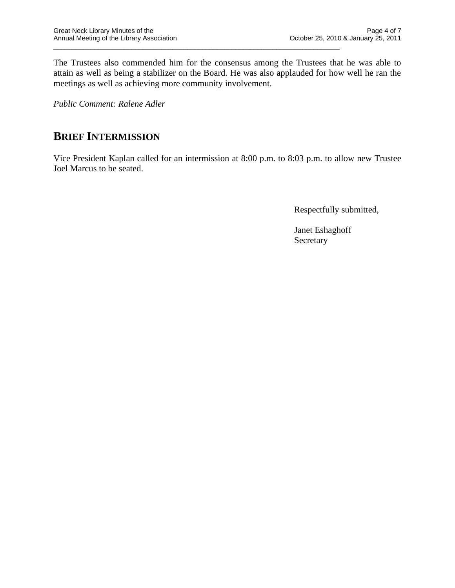The Trustees also commended him for the consensus among the Trustees that he was able to attain as well as being a stabilizer on the Board. He was also applauded for how well he ran the meetings as well as achieving more community involvement.

\_\_\_\_\_\_\_\_\_\_\_\_\_\_\_\_\_\_\_\_\_\_\_\_\_\_\_\_\_\_\_\_\_\_\_\_\_\_\_\_\_\_\_\_\_\_\_\_\_\_\_\_\_\_\_\_\_\_\_\_\_\_\_\_\_\_\_\_\_\_\_\_\_\_\_\_\_

*Public Comment: Ralene Adler*

# **BRIEF INTERMISSION**

Vice President Kaplan called for an intermission at 8:00 p.m. to 8:03 p.m. to allow new Trustee Joel Marcus to be seated.

Respectfully submitted,

Janet Eshaghoff Secretary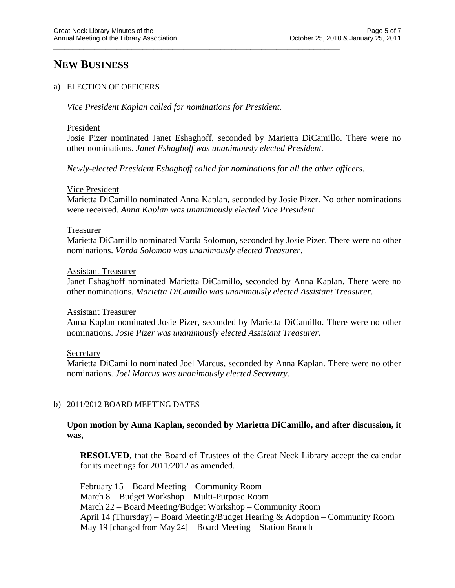### **NEW BUSINESS**

#### a) ELECTION OF OFFICERS

*Vice President Kaplan called for nominations for President.*

\_\_\_\_\_\_\_\_\_\_\_\_\_\_\_\_\_\_\_\_\_\_\_\_\_\_\_\_\_\_\_\_\_\_\_\_\_\_\_\_\_\_\_\_\_\_\_\_\_\_\_\_\_\_\_\_\_\_\_\_\_\_\_\_\_\_\_\_\_\_\_\_\_\_\_\_\_

#### President

Josie Pizer nominated Janet Eshaghoff, seconded by Marietta DiCamillo. There were no other nominations. *Janet Eshaghoff was unanimously elected President.*

*Newly-elected President Eshaghoff called for nominations for all the other officers.*

#### Vice President

Marietta DiCamillo nominated Anna Kaplan, seconded by Josie Pizer. No other nominations were received. *Anna Kaplan was unanimously elected Vice President.*

#### Treasurer

Marietta DiCamillo nominated Varda Solomon, seconded by Josie Pizer. There were no other nominations. *Varda Solomon was unanimously elected Treasurer*.

#### Assistant Treasurer

Janet Eshaghoff nominated Marietta DiCamillo, seconded by Anna Kaplan. There were no other nominations. *Marietta DiCamillo was unanimously elected Assistant Treasurer.*

#### Assistant Treasurer

Anna Kaplan nominated Josie Pizer, seconded by Marietta DiCamillo. There were no other nominations. *Josie Pizer was unanimously elected Assistant Treasurer.*

#### **Secretary**

Marietta DiCamillo nominated Joel Marcus, seconded by Anna Kaplan. There were no other nominations. *Joel Marcus was unanimously elected Secretary.*

#### b) 2011/2012 BOARD MEETING DATES

**Upon motion by Anna Kaplan, seconded by Marietta DiCamillo, and after discussion, it was,**

**RESOLVED**, that the Board of Trustees of the Great Neck Library accept the calendar for its meetings for 2011/2012 as amended.

February 15 – Board Meeting – Community Room March 8 – Budget Workshop – Multi-Purpose Room March 22 – Board Meeting/Budget Workshop – Community Room April 14 (Thursday) – Board Meeting/Budget Hearing & Adoption – Community Room May 19 [changed from May 24] – Board Meeting – Station Branch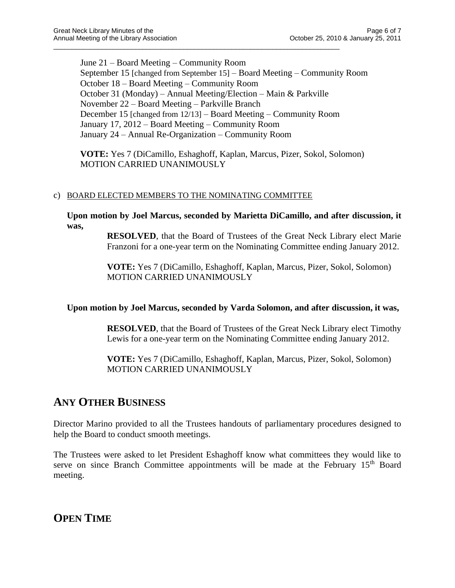June 21 – Board Meeting – Community Room September 15 [changed from September 15] – Board Meeting – Community Room October 18 – Board Meeting – Community Room October 31 (Monday) – Annual Meeting/Election – Main & Parkville November 22 – Board Meeting – Parkville Branch December 15 [changed from 12/13] – Board Meeting – Community Room January 17, 2012 – Board Meeting – Community Room January 24 – Annual Re-Organization – Community Room

\_\_\_\_\_\_\_\_\_\_\_\_\_\_\_\_\_\_\_\_\_\_\_\_\_\_\_\_\_\_\_\_\_\_\_\_\_\_\_\_\_\_\_\_\_\_\_\_\_\_\_\_\_\_\_\_\_\_\_\_\_\_\_\_\_\_\_\_\_\_\_\_\_\_\_\_\_

**VOTE:** Yes 7 (DiCamillo, Eshaghoff, Kaplan, Marcus, Pizer, Sokol, Solomon) MOTION CARRIED UNANIMOUSLY

#### c) BOARD ELECTED MEMBERS TO THE NOMINATING COMMITTEE

**Upon motion by Joel Marcus, seconded by Marietta DiCamillo, and after discussion, it was,**

> **RESOLVED**, that the Board of Trustees of the Great Neck Library elect Marie Franzoni for a one-year term on the Nominating Committee ending January 2012.

**VOTE:** Yes 7 (DiCamillo, Eshaghoff, Kaplan, Marcus, Pizer, Sokol, Solomon) MOTION CARRIED UNANIMOUSLY

#### **Upon motion by Joel Marcus, seconded by Varda Solomon, and after discussion, it was,**

**RESOLVED**, that the Board of Trustees of the Great Neck Library elect Timothy Lewis for a one-year term on the Nominating Committee ending January 2012.

**VOTE:** Yes 7 (DiCamillo, Eshaghoff, Kaplan, Marcus, Pizer, Sokol, Solomon) MOTION CARRIED UNANIMOUSLY

# **ANY OTHER BUSINESS**

Director Marino provided to all the Trustees handouts of parliamentary procedures designed to help the Board to conduct smooth meetings.

The Trustees were asked to let President Eshaghoff know what committees they would like to serve on since Branch Committee appointments will be made at the February 15<sup>th</sup> Board meeting.

**OPEN TIME**